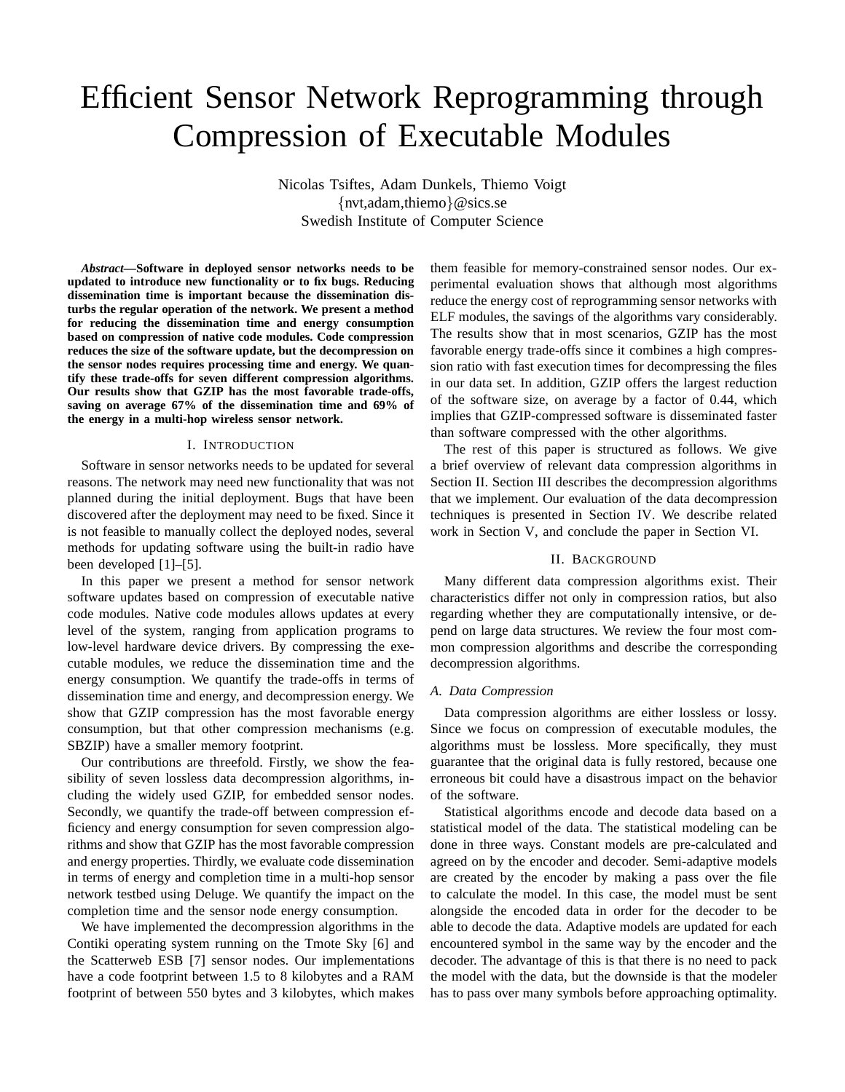# Efficient Sensor Network Reprogramming through Compression of Executable Modules

Nicolas Tsiftes, Adam Dunkels, Thiemo Voigt {nvt,adam,thiemo}@sics.se Swedish Institute of Computer Science

*Abstract***—Software in deployed sensor networks needs to be updated to introduce new functionality or to fix bugs. Reducing dissemination time is important because the dissemination disturbs the regular operation of the network. We present a method for reducing the dissemination time and energy consumption based on compression of native code modules. Code compression reduces the size of the software update, but the decompression on the sensor nodes requires processing time and energy. We quantify these trade-offs for seven different compression algorithms. Our results show that GZIP has the most favorable trade-offs, saving on average 67% of the dissemination time and 69% of the energy in a multi-hop wireless sensor network.**

#### I. INTRODUCTION

Software in sensor networks needs to be updated for several reasons. The network may need new functionality that was not planned during the initial deployment. Bugs that have been discovered after the deployment may need to be fixed. Since it is not feasible to manually collect the deployed nodes, several methods for updating software using the built-in radio have been developed [1]–[5].

In this paper we present a method for sensor network software updates based on compression of executable native code modules. Native code modules allows updates at every level of the system, ranging from application programs to low-level hardware device drivers. By compressing the executable modules, we reduce the dissemination time and the energy consumption. We quantify the trade-offs in terms of dissemination time and energy, and decompression energy. We show that GZIP compression has the most favorable energy consumption, but that other compression mechanisms (e.g. SBZIP) have a smaller memory footprint.

Our contributions are threefold. Firstly, we show the feasibility of seven lossless data decompression algorithms, including the widely used GZIP, for embedded sensor nodes. Secondly, we quantify the trade-off between compression efficiency and energy consumption for seven compression algorithms and show that GZIP has the most favorable compression and energy properties. Thirdly, we evaluate code dissemination in terms of energy and completion time in a multi-hop sensor network testbed using Deluge. We quantify the impact on the completion time and the sensor node energy consumption.

We have implemented the decompression algorithms in the Contiki operating system running on the Tmote Sky [6] and the Scatterweb ESB [7] sensor nodes. Our implementations have a code footprint between 1.5 to 8 kilobytes and a RAM footprint of between 550 bytes and 3 kilobytes, which makes

them feasible for memory-constrained sensor nodes. Our experimental evaluation shows that although most algorithms reduce the energy cost of reprogramming sensor networks with ELF modules, the savings of the algorithms vary considerably. The results show that in most scenarios, GZIP has the most favorable energy trade-offs since it combines a high compression ratio with fast execution times for decompressing the files in our data set. In addition, GZIP offers the largest reduction of the software size, on average by a factor of 0.44, which implies that GZIP-compressed software is disseminated faster than software compressed with the other algorithms.

The rest of this paper is structured as follows. We give a brief overview of relevant data compression algorithms in Section II. Section III describes the decompression algorithms that we implement. Our evaluation of the data decompression techniques is presented in Section IV. We describe related work in Section V, and conclude the paper in Section VI.

#### II. BACKGROUND

Many different data compression algorithms exist. Their characteristics differ not only in compression ratios, but also regarding whether they are computationally intensive, or depend on large data structures. We review the four most common compression algorithms and describe the corresponding decompression algorithms.

## *A. Data Compression*

Data compression algorithms are either lossless or lossy. Since we focus on compression of executable modules, the algorithms must be lossless. More specifically, they must guarantee that the original data is fully restored, because one erroneous bit could have a disastrous impact on the behavior of the software.

Statistical algorithms encode and decode data based on a statistical model of the data. The statistical modeling can be done in three ways. Constant models are pre-calculated and agreed on by the encoder and decoder. Semi-adaptive models are created by the encoder by making a pass over the file to calculate the model. In this case, the model must be sent alongside the encoded data in order for the decoder to be able to decode the data. Adaptive models are updated for each encountered symbol in the same way by the encoder and the decoder. The advantage of this is that there is no need to pack the model with the data, but the downside is that the modeler has to pass over many symbols before approaching optimality.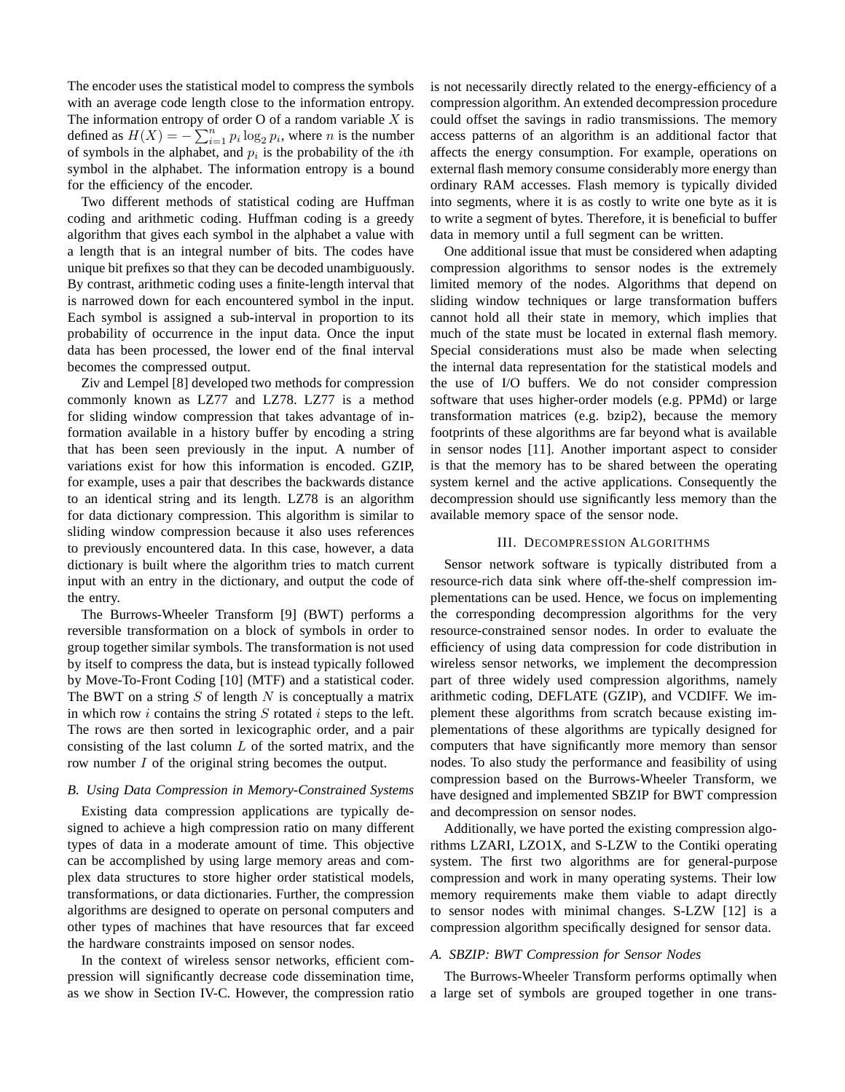The encoder uses the statistical model to compress the symbols with an average code length close to the information entropy. The information entropy of order  $O$  of a random variable  $X$  is defined as  $H(X) = -\sum_{i=1}^{n} p_i \log_2 p_i$ , where *n* is the number of symbols in the alphabet, and  $p_i$  is the probability of the *i*th symbol in the alphabet. The information entropy is a bound for the efficiency of the encoder.

Two different methods of statistical coding are Huffman coding and arithmetic coding. Huffman coding is a greedy algorithm that gives each symbol in the alphabet a value with a length that is an integral number of bits. The codes have unique bit prefixes so that they can be decoded unambiguously. By contrast, arithmetic coding uses a finite-length interval that is narrowed down for each encountered symbol in the input. Each symbol is assigned a sub-interval in proportion to its probability of occurrence in the input data. Once the input data has been processed, the lower end of the final interval becomes the compressed output.

Ziv and Lempel [8] developed two methods for compression commonly known as LZ77 and LZ78. LZ77 is a method for sliding window compression that takes advantage of information available in a history buffer by encoding a string that has been seen previously in the input. A number of variations exist for how this information is encoded. GZIP, for example, uses a pair that describes the backwards distance to an identical string and its length. LZ78 is an algorithm for data dictionary compression. This algorithm is similar to sliding window compression because it also uses references to previously encountered data. In this case, however, a data dictionary is built where the algorithm tries to match current input with an entry in the dictionary, and output the code of the entry.

The Burrows-Wheeler Transform [9] (BWT) performs a reversible transformation on a block of symbols in order to group together similar symbols. The transformation is not used by itself to compress the data, but is instead typically followed by Move-To-Front Coding [10] (MTF) and a statistical coder. The BWT on a string  $S$  of length  $N$  is conceptually a matrix in which row  $i$  contains the string  $S$  rotated  $i$  steps to the left. The rows are then sorted in lexicographic order, and a pair consisting of the last column  $L$  of the sorted matrix, and the row number I of the original string becomes the output.

## *B. Using Data Compression in Memory-Constrained Systems*

Existing data compression applications are typically designed to achieve a high compression ratio on many different types of data in a moderate amount of time. This objective can be accomplished by using large memory areas and complex data structures to store higher order statistical models, transformations, or data dictionaries. Further, the compression algorithms are designed to operate on personal computers and other types of machines that have resources that far exceed the hardware constraints imposed on sensor nodes.

In the context of wireless sensor networks, efficient compression will significantly decrease code dissemination time, as we show in Section IV-C. However, the compression ratio is not necessarily directly related to the energy-efficiency of a compression algorithm. An extended decompression procedure could offset the savings in radio transmissions. The memory access patterns of an algorithm is an additional factor that affects the energy consumption. For example, operations on external flash memory consume considerably more energy than ordinary RAM accesses. Flash memory is typically divided into segments, where it is as costly to write one byte as it is to write a segment of bytes. Therefore, it is beneficial to buffer data in memory until a full segment can be written.

One additional issue that must be considered when adapting compression algorithms to sensor nodes is the extremely limited memory of the nodes. Algorithms that depend on sliding window techniques or large transformation buffers cannot hold all their state in memory, which implies that much of the state must be located in external flash memory. Special considerations must also be made when selecting the internal data representation for the statistical models and the use of I/O buffers. We do not consider compression software that uses higher-order models (e.g. PPMd) or large transformation matrices (e.g. bzip2), because the memory footprints of these algorithms are far beyond what is available in sensor nodes [11]. Another important aspect to consider is that the memory has to be shared between the operating system kernel and the active applications. Consequently the decompression should use significantly less memory than the available memory space of the sensor node.

## III. DECOMPRESSION ALGORITHMS

Sensor network software is typically distributed from a resource-rich data sink where off-the-shelf compression implementations can be used. Hence, we focus on implementing the corresponding decompression algorithms for the very resource-constrained sensor nodes. In order to evaluate the efficiency of using data compression for code distribution in wireless sensor networks, we implement the decompression part of three widely used compression algorithms, namely arithmetic coding, DEFLATE (GZIP), and VCDIFF. We implement these algorithms from scratch because existing implementations of these algorithms are typically designed for computers that have significantly more memory than sensor nodes. To also study the performance and feasibility of using compression based on the Burrows-Wheeler Transform, we have designed and implemented SBZIP for BWT compression and decompression on sensor nodes.

Additionally, we have ported the existing compression algorithms LZARI, LZO1X, and S-LZW to the Contiki operating system. The first two algorithms are for general-purpose compression and work in many operating systems. Their low memory requirements make them viable to adapt directly to sensor nodes with minimal changes. S-LZW [12] is a compression algorithm specifically designed for sensor data.

## *A. SBZIP: BWT Compression for Sensor Nodes*

The Burrows-Wheeler Transform performs optimally when a large set of symbols are grouped together in one trans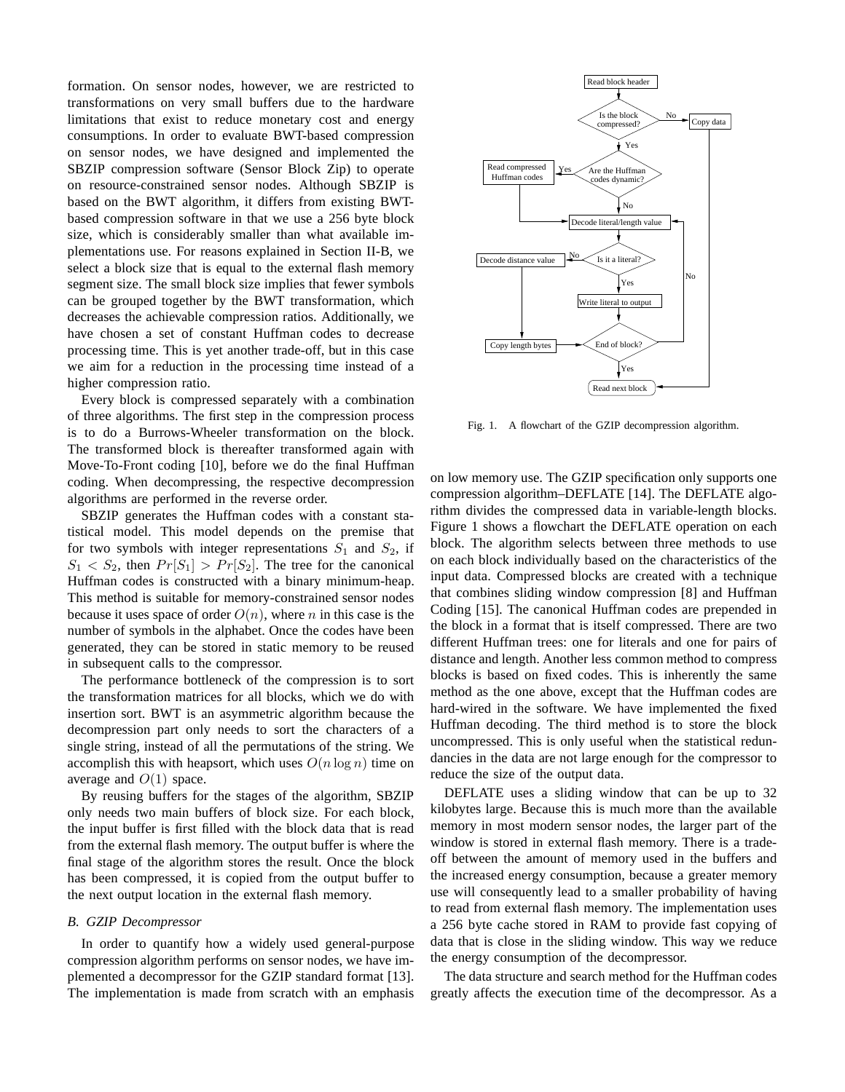formation. On sensor nodes, however, we are restricted to transformations on very small buffers due to the hardware limitations that exist to reduce monetary cost and energy consumptions. In order to evaluate BWT-based compression on sensor nodes, we have designed and implemented the SBZIP compression software (Sensor Block Zip) to operate on resource-constrained sensor nodes. Although SBZIP is based on the BWT algorithm, it differs from existing BWTbased compression software in that we use a 256 byte block size, which is considerably smaller than what available implementations use. For reasons explained in Section II-B, we select a block size that is equal to the external flash memory segment size. The small block size implies that fewer symbols can be grouped together by the BWT transformation, which decreases the achievable compression ratios. Additionally, we have chosen a set of constant Huffman codes to decrease processing time. This is yet another trade-off, but in this case we aim for a reduction in the processing time instead of a higher compression ratio.

Every block is compressed separately with a combination of three algorithms. The first step in the compression process is to do a Burrows-Wheeler transformation on the block. The transformed block is thereafter transformed again with Move-To-Front coding [10], before we do the final Huffman coding. When decompressing, the respective decompression algorithms are performed in the reverse order.

SBZIP generates the Huffman codes with a constant statistical model. This model depends on the premise that for two symbols with integer representations  $S_1$  and  $S_2$ , if  $S_1 < S_2$ , then  $Pr[S_1] > Pr[S_2]$ . The tree for the canonical Huffman codes is constructed with a binary minimum-heap. This method is suitable for memory-constrained sensor nodes because it uses space of order  $O(n)$ , where n in this case is the number of symbols in the alphabet. Once the codes have been generated, they can be stored in static memory to be reused in subsequent calls to the compressor.

The performance bottleneck of the compression is to sort the transformation matrices for all blocks, which we do with insertion sort. BWT is an asymmetric algorithm because the decompression part only needs to sort the characters of a single string, instead of all the permutations of the string. We accomplish this with heapsort, which uses  $O(n \log n)$  time on average and  $O(1)$  space.

By reusing buffers for the stages of the algorithm, SBZIP only needs two main buffers of block size. For each block, the input buffer is first filled with the block data that is read from the external flash memory. The output buffer is where the final stage of the algorithm stores the result. Once the block has been compressed, it is copied from the output buffer to the next output location in the external flash memory.

#### *B. GZIP Decompressor*

In order to quantify how a widely used general-purpose compression algorithm performs on sensor nodes, we have implemented a decompressor for the GZIP standard format [13]. The implementation is made from scratch with an emphasis



Fig. 1. A flowchart of the GZIP decompression algorithm.

on low memory use. The GZIP specification only supports one compression algorithm–DEFLATE [14]. The DEFLATE algorithm divides the compressed data in variable-length blocks. Figure 1 shows a flowchart the DEFLATE operation on each block. The algorithm selects between three methods to use on each block individually based on the characteristics of the input data. Compressed blocks are created with a technique that combines sliding window compression [8] and Huffman Coding [15]. The canonical Huffman codes are prepended in the block in a format that is itself compressed. There are two different Huffman trees: one for literals and one for pairs of distance and length. Another less common method to compress blocks is based on fixed codes. This is inherently the same method as the one above, except that the Huffman codes are hard-wired in the software. We have implemented the fixed Huffman decoding. The third method is to store the block uncompressed. This is only useful when the statistical redundancies in the data are not large enough for the compressor to reduce the size of the output data.

DEFLATE uses a sliding window that can be up to 32 kilobytes large. Because this is much more than the available memory in most modern sensor nodes, the larger part of the window is stored in external flash memory. There is a tradeoff between the amount of memory used in the buffers and the increased energy consumption, because a greater memory use will consequently lead to a smaller probability of having to read from external flash memory. The implementation uses a 256 byte cache stored in RAM to provide fast copying of data that is close in the sliding window. This way we reduce the energy consumption of the decompressor.

The data structure and search method for the Huffman codes greatly affects the execution time of the decompressor. As a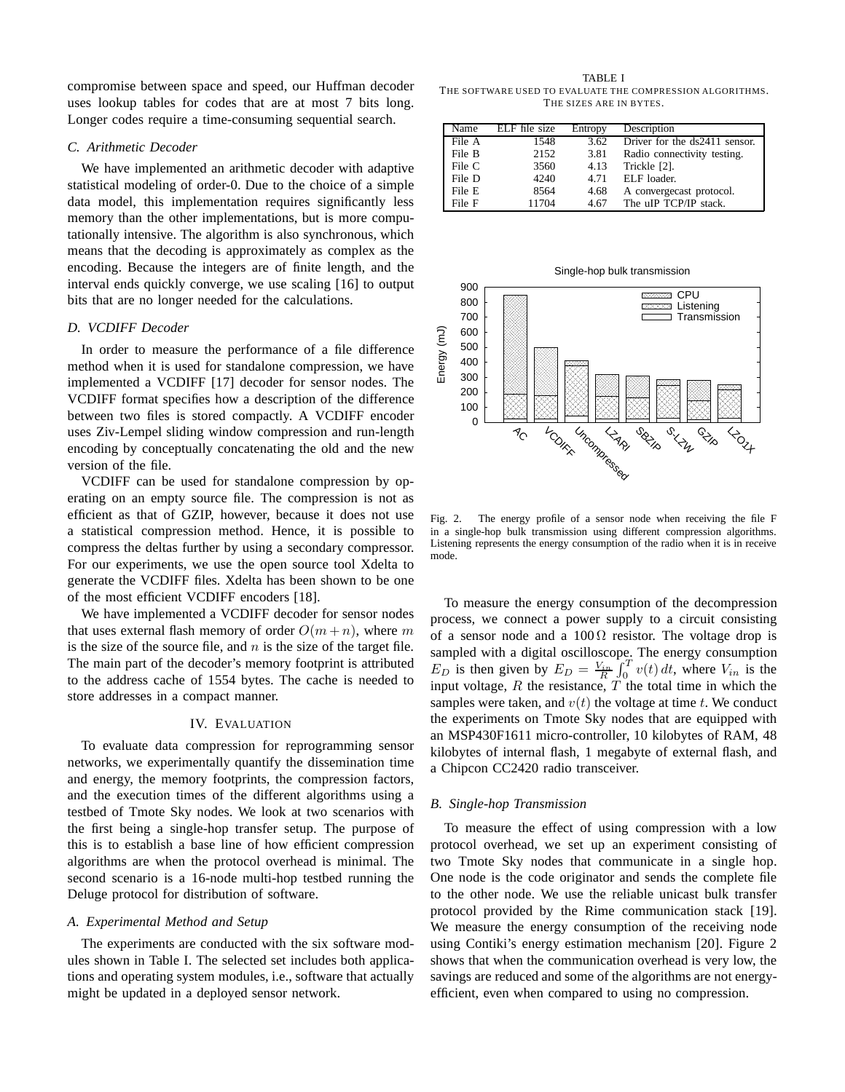compromise between space and speed, our Huffman decoder uses lookup tables for codes that are at most 7 bits long. Longer codes require a time-consuming sequential search.

#### *C. Arithmetic Decoder*

We have implemented an arithmetic decoder with adaptive statistical modeling of order-0. Due to the choice of a simple data model, this implementation requires significantly less memory than the other implementations, but is more computationally intensive. The algorithm is also synchronous, which means that the decoding is approximately as complex as the encoding. Because the integers are of finite length, and the interval ends quickly converge, we use scaling [16] to output bits that are no longer needed for the calculations.

### *D. VCDIFF Decoder*

In order to measure the performance of a file difference method when it is used for standalone compression, we have implemented a VCDIFF [17] decoder for sensor nodes. The VCDIFF format specifies how a description of the difference between two files is stored compactly. A VCDIFF encoder uses Ziv-Lempel sliding window compression and run-length encoding by conceptually concatenating the old and the new version of the file.

VCDIFF can be used for standalone compression by operating on an empty source file. The compression is not as efficient as that of GZIP, however, because it does not use a statistical compression method. Hence, it is possible to compress the deltas further by using a secondary compressor. For our experiments, we use the open source tool Xdelta to generate the VCDIFF files. Xdelta has been shown to be one of the most efficient VCDIFF encoders [18].

We have implemented a VCDIFF decoder for sensor nodes that uses external flash memory of order  $O(m + n)$ , where m is the size of the source file, and  $n$  is the size of the target file. The main part of the decoder's memory footprint is attributed to the address cache of 1554 bytes. The cache is needed to store addresses in a compact manner.

#### IV. EVALUATION

To evaluate data compression for reprogramming sensor networks, we experimentally quantify the dissemination time and energy, the memory footprints, the compression factors, and the execution times of the different algorithms using a testbed of Tmote Sky nodes. We look at two scenarios with the first being a single-hop transfer setup. The purpose of this is to establish a base line of how efficient compression algorithms are when the protocol overhead is minimal. The second scenario is a 16-node multi-hop testbed running the Deluge protocol for distribution of software.

## *A. Experimental Method and Setup*

The experiments are conducted with the six software modules shown in Table I. The selected set includes both applications and operating system modules, i.e., software that actually might be updated in a deployed sensor network.

TABLE I THE SOFTWARE USED TO EVALUATE THE COMPRESSION ALGORITHMS. THE SIZES ARE IN BYTES.

| Name   | ELF file size | Entropy | Description                   |
|--------|---------------|---------|-------------------------------|
| File A | 1548          | 3.62    | Driver for the ds2411 sensor. |
| File B | 2152          | 3.81    | Radio connectivity testing.   |
| File C | 3560          | 4.13    | Trickle [2].                  |
| File D | 4240          | 4.71    | ELF loader.                   |
| File E | 8564          | 4.68    | A converge cast protocol.     |
| File F | 11704         | 4.67    | The uIP TCP/IP stack.         |





Fig. 2. The energy profile of a sensor node when receiving the file F in a single-hop bulk transmission using different compression algorithms. Listening represents the energy consumption of the radio when it is in receive mode.

To measure the energy consumption of the decompression process, we connect a power supply to a circuit consisting of a sensor node and a  $100\Omega$  resistor. The voltage drop is sampled with a digital oscilloscope. The energy consumption  $E_D$  is then given by  $E_D = \frac{V_{in}}{R} \int_0^T v(t) dt$ , where  $V_{in}$  is the input voltage,  $R$  the resistance,  $T$  the total time in which the samples were taken, and  $v(t)$  the voltage at time t. We conduct the experiments on Tmote Sky nodes that are equipped with an MSP430F1611 micro-controller, 10 kilobytes of RAM, 48 kilobytes of internal flash, 1 megabyte of external flash, and a Chipcon CC2420 radio transceiver.

## *B. Single-hop Transmission*

To measure the effect of using compression with a low protocol overhead, we set up an experiment consisting of two Tmote Sky nodes that communicate in a single hop. One node is the code originator and sends the complete file to the other node. We use the reliable unicast bulk transfer protocol provided by the Rime communication stack [19]. We measure the energy consumption of the receiving node using Contiki's energy estimation mechanism [20]. Figure 2 shows that when the communication overhead is very low, the savings are reduced and some of the algorithms are not energyefficient, even when compared to using no compression.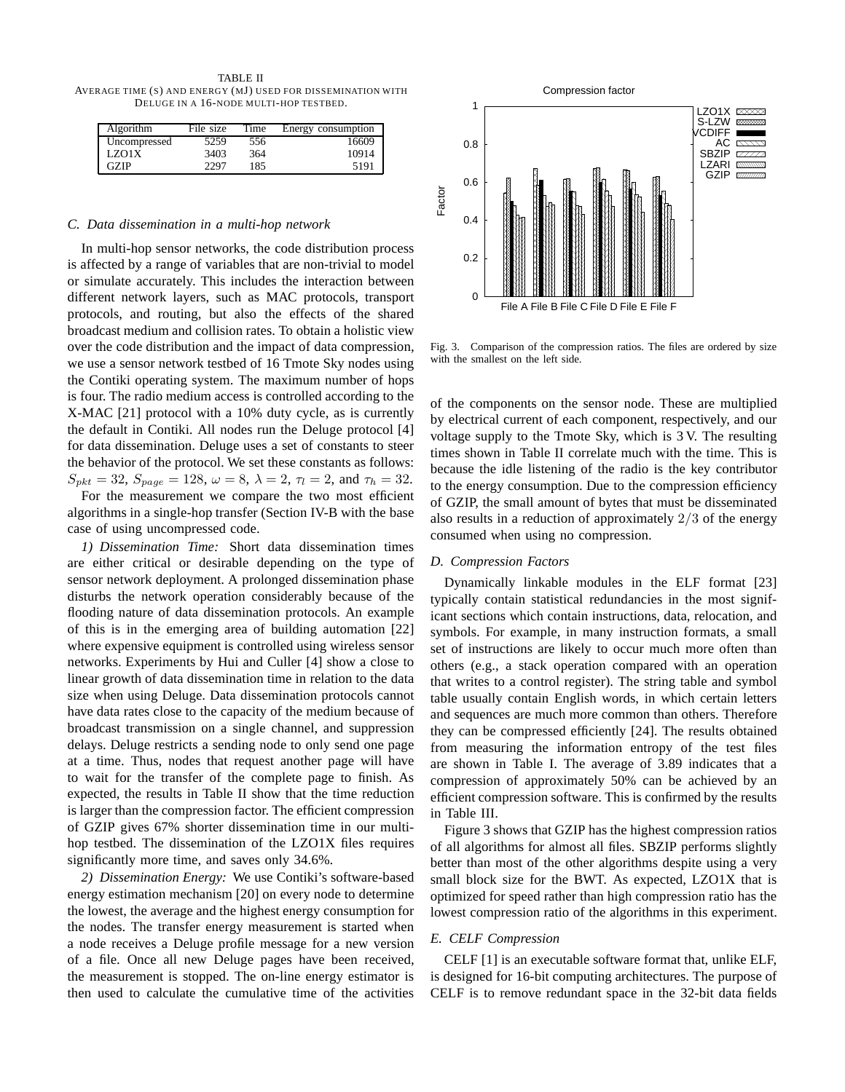TABLE II AVERAGE TIME (S) AND ENERGY (MJ) USED FOR DISSEMINATION WITH DELUGE IN A 16-NODE MULTI-HOP TESTBED.

| Algorithm    | File size | Time | Energy consumption |
|--------------|-----------|------|--------------------|
| Uncompressed | 5259      | 556  | 16609              |
| LZO1X        | 3403      | 364  | 10914              |
| GZIP         | 2297      | 185  | 5191               |

## *C. Data dissemination in a multi-hop network*

In multi-hop sensor networks, the code distribution process is affected by a range of variables that are non-trivial to model or simulate accurately. This includes the interaction between different network layers, such as MAC protocols, transport protocols, and routing, but also the effects of the shared broadcast medium and collision rates. To obtain a holistic view over the code distribution and the impact of data compression, we use a sensor network testbed of 16 Tmote Sky nodes using the Contiki operating system. The maximum number of hops is four. The radio medium access is controlled according to the X-MAC [21] protocol with a 10% duty cycle, as is currently the default in Contiki. All nodes run the Deluge protocol [4] for data dissemination. Deluge uses a set of constants to steer the behavior of the protocol. We set these constants as follows:  $S_{nkt} = 32$ ,  $S_{nage} = 128$ ,  $\omega = 8$ ,  $\lambda = 2$ ,  $\tau_l = 2$ , and  $\tau_h = 32$ . For the measurement we compare the two most efficient algorithms in a single-hop transfer (Section IV-B with the base case of using uncompressed code.

*1) Dissemination Time:* Short data dissemination times are either critical or desirable depending on the type of sensor network deployment. A prolonged dissemination phase disturbs the network operation considerably because of the flooding nature of data dissemination protocols. An example of this is in the emerging area of building automation [22] where expensive equipment is controlled using wireless sensor networks. Experiments by Hui and Culler [4] show a close to linear growth of data dissemination time in relation to the data size when using Deluge. Data dissemination protocols cannot have data rates close to the capacity of the medium because of broadcast transmission on a single channel, and suppression delays. Deluge restricts a sending node to only send one page at a time. Thus, nodes that request another page will have to wait for the transfer of the complete page to finish. As expected, the results in Table II show that the time reduction is larger than the compression factor. The efficient compression of GZIP gives 67% shorter dissemination time in our multihop testbed. The dissemination of the LZO1X files requires significantly more time, and saves only 34.6%.

*2) Dissemination Energy:* We use Contiki's software-based energy estimation mechanism [20] on every node to determine the lowest, the average and the highest energy consumption for the nodes. The transfer energy measurement is started when a node receives a Deluge profile message for a new version of a file. Once all new Deluge pages have been received, the measurement is stopped. The on-line energy estimator is then used to calculate the cumulative time of the activities



Fig. 3. Comparison of the compression ratios. The files are ordered by size with the smallest on the left side.

of the components on the sensor node. These are multiplied by electrical current of each component, respectively, and our voltage supply to the Tmote Sky, which is 3 V. The resulting times shown in Table II correlate much with the time. This is because the idle listening of the radio is the key contributor to the energy consumption. Due to the compression efficiency of GZIP, the small amount of bytes that must be disseminated also results in a reduction of approximately  $2/3$  of the energy consumed when using no compression.

## *D. Compression Factors*

Dynamically linkable modules in the ELF format [23] typically contain statistical redundancies in the most significant sections which contain instructions, data, relocation, and symbols. For example, in many instruction formats, a small set of instructions are likely to occur much more often than others (e.g., a stack operation compared with an operation that writes to a control register). The string table and symbol table usually contain English words, in which certain letters and sequences are much more common than others. Therefore they can be compressed efficiently [24]. The results obtained from measuring the information entropy of the test files are shown in Table I. The average of 3.89 indicates that a compression of approximately 50% can be achieved by an efficient compression software. This is confirmed by the results in Table III.

Figure 3 shows that GZIP has the highest compression ratios of all algorithms for almost all files. SBZIP performs slightly better than most of the other algorithms despite using a very small block size for the BWT. As expected, LZO1X that is optimized for speed rather than high compression ratio has the lowest compression ratio of the algorithms in this experiment.

## *E. CELF Compression*

CELF [1] is an executable software format that, unlike ELF, is designed for 16-bit computing architectures. The purpose of CELF is to remove redundant space in the 32-bit data fields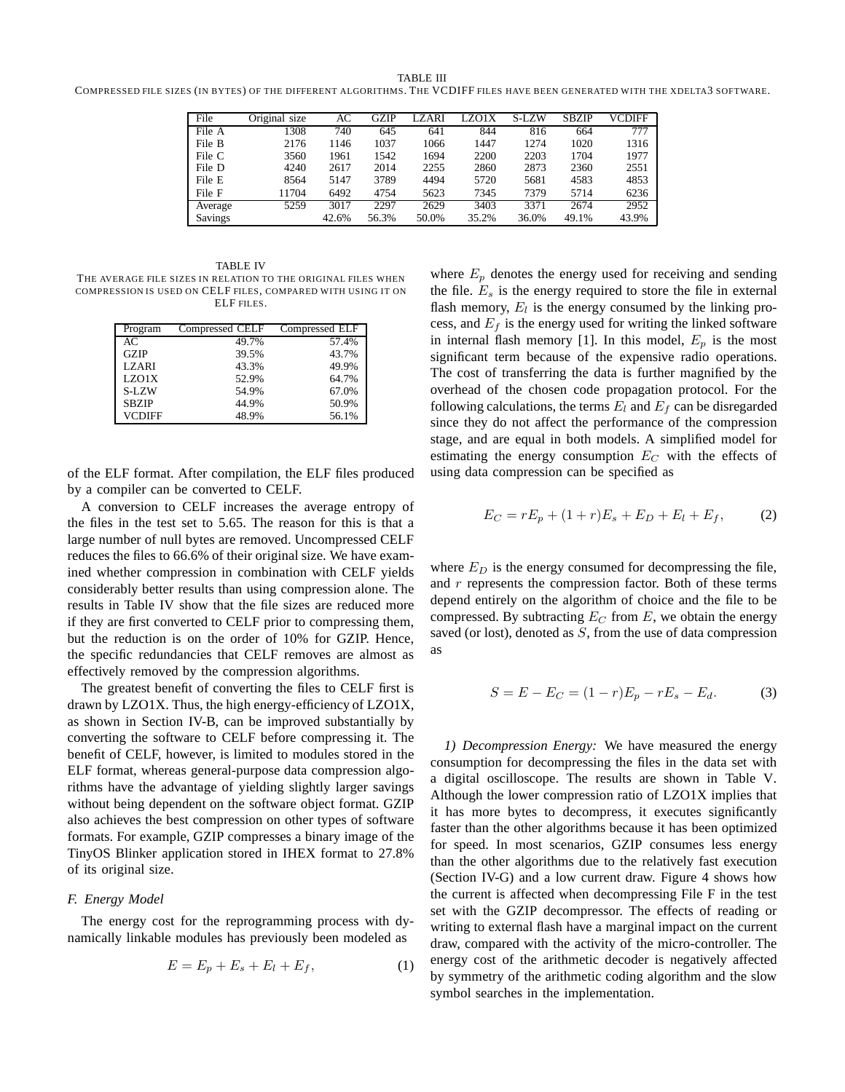COMPRESSED FILE SIZES (IN BYTES) OF THE DIFFERENT ALGORITHMS. THE VCDIFF FILES HAVE BEEN GENERATED WITH THE XDELTA3 SOFTWARE.

| File    | Original size | AC    | GZIP  | . ZARI | LZO1X | S-LZW | <b>SBZIP</b> | VCDIFF |
|---------|---------------|-------|-------|--------|-------|-------|--------------|--------|
| File A  | 1308          | 740   | 645   | 641    | 844   | 816   | 664          | 777    |
| File B  | 2176          | 1146  | 1037  | 1066   | 1447  | 1274  | 1020         | 1316   |
| File C  | 3560          | 1961  | 1542  | 1694   | 2200  | 2203  | 1704         | 1977   |
| File D  | 4240          | 2617  | 2014  | 2255   | 2860  | 2873  | 2360         | 2551   |
| File E  | 8564          | 5147  | 3789  | 4494   | 5720  | 5681  | 4583         | 4853   |
| File F  | 11704         | 6492  | 4754  | 5623   | 7345  | 7379  | 5714         | 6236   |
| Average | 5259          | 3017  | 2297  | 2629   | 3403  | 3371  | 2674         | 2952   |
| Savings |               | 42.6% | 56.3% | 50.0%  | 35.2% | 36.0% | 49.1%        | 43.9%  |

TABLE IV THE AVERAGE FILE SIZES IN RELATION TO THE ORIGINAL FILES WHEN COMPRESSION IS USED ON CELF FILES, COMPARED WITH USING IT ON ELF FILES.

| Program       | Compressed CELF | Compressed ELF |
|---------------|-----------------|----------------|
| AC            | 49.7%           | 57.4%          |
| <b>GZIP</b>   | 39.5%           | 43.7%          |
| <b>LZARI</b>  | 43.3%           | 49.9%          |
| <b>LZO1X</b>  | 52.9%           | 64.7%          |
| S-LZW         | 54.9%           | 67.0%          |
| <b>SBZIP</b>  | 44.9%           | 50.9%          |
| <b>VCDIFF</b> | 48.9%           | 56.1%          |

of the ELF format. After compilation, the ELF files produced by a compiler can be converted to CELF.

A conversion to CELF increases the average entropy of the files in the test set to 5.65. The reason for this is that a large number of null bytes are removed. Uncompressed CELF reduces the files to 66.6% of their original size. We have examined whether compression in combination with CELF yields considerably better results than using compression alone. The results in Table IV show that the file sizes are reduced more if they are first converted to CELF prior to compressing them, but the reduction is on the order of 10% for GZIP. Hence, the specific redundancies that CELF removes are almost as effectively removed by the compression algorithms.

The greatest benefit of converting the files to CELF first is drawn by LZO1X. Thus, the high energy-efficiency of LZO1X, as shown in Section IV-B, can be improved substantially by converting the software to CELF before compressing it. The benefit of CELF, however, is limited to modules stored in the ELF format, whereas general-purpose data compression algorithms have the advantage of yielding slightly larger savings without being dependent on the software object format. GZIP also achieves the best compression on other types of software formats. For example, GZIP compresses a binary image of the TinyOS Blinker application stored in IHEX format to 27.8% of its original size.

#### *F. Energy Model*

The energy cost for the reprogramming process with dynamically linkable modules has previously been modeled as

$$
E = E_p + E_s + E_l + E_f, \tag{1}
$$

where  $E_p$  denotes the energy used for receiving and sending the file.  $E_s$  is the energy required to store the file in external flash memory,  $E_l$  is the energy consumed by the linking process, and  $E_f$  is the energy used for writing the linked software in internal flash memory [1]. In this model,  $E_p$  is the most significant term because of the expensive radio operations. The cost of transferring the data is further magnified by the overhead of the chosen code propagation protocol. For the following calculations, the terms  $E_l$  and  $E_f$  can be disregarded since they do not affect the performance of the compression stage, and are equal in both models. A simplified model for estimating the energy consumption  $E_C$  with the effects of using data compression can be specified as

$$
E_C = rE_p + (1+r)E_s + E_D + E_l + E_f, \tag{2}
$$

where  $E_D$  is the energy consumed for decompressing the file, and  $r$  represents the compression factor. Both of these terms depend entirely on the algorithm of choice and the file to be compressed. By subtracting  $E_C$  from  $E$ , we obtain the energy saved (or lost), denoted as S, from the use of data compression as

$$
S = E - E_C = (1 - r)E_p - rE_s - E_d.
$$
 (3)

*1) Decompression Energy:* We have measured the energy consumption for decompressing the files in the data set with a digital oscilloscope. The results are shown in Table V. Although the lower compression ratio of LZO1X implies that it has more bytes to decompress, it executes significantly faster than the other algorithms because it has been optimized for speed. In most scenarios, GZIP consumes less energy than the other algorithms due to the relatively fast execution (Section IV-G) and a low current draw. Figure 4 shows how the current is affected when decompressing File F in the test set with the GZIP decompressor. The effects of reading or writing to external flash have a marginal impact on the current draw, compared with the activity of the micro-controller. The energy cost of the arithmetic decoder is negatively affected by symmetry of the arithmetic coding algorithm and the slow symbol searches in the implementation.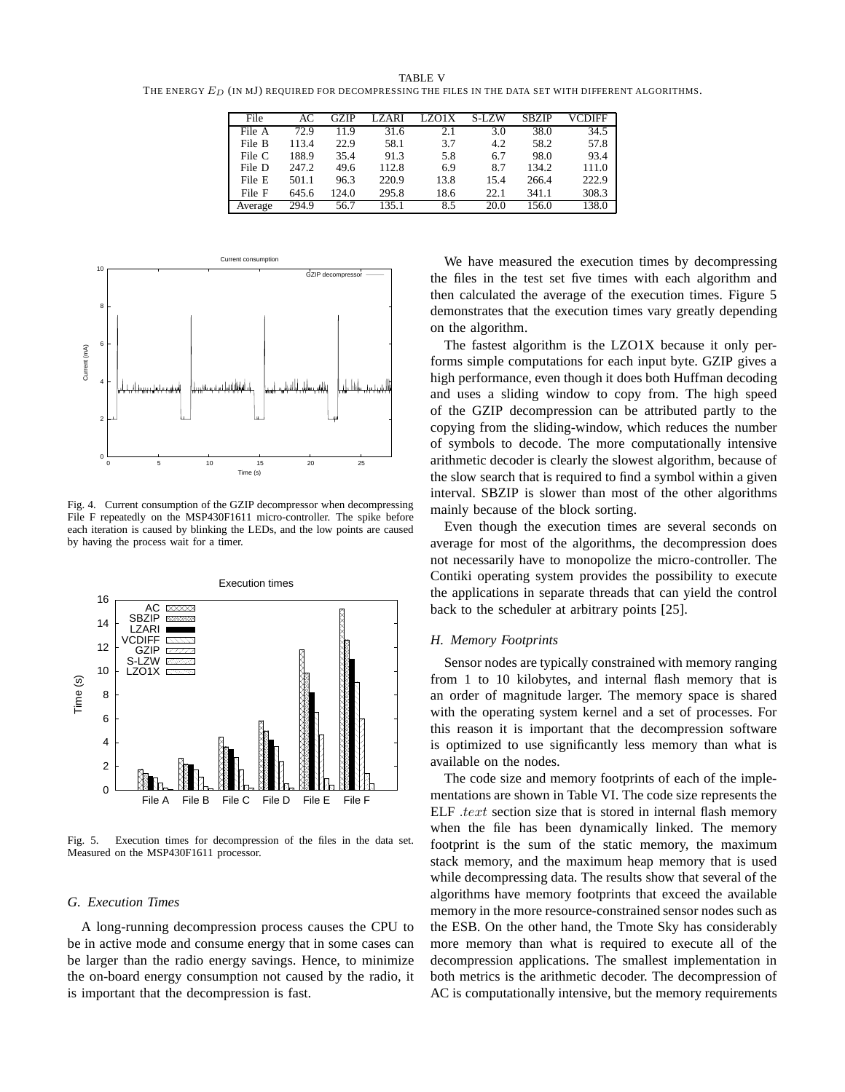TABLE V THE ENERGY  $E_D$  (IN MJ) REQUIRED FOR DECOMPRESSING THE FILES IN THE DATA SET WITH DIFFERENT ALGORITHMS.

| File    | АC    | GZIP  | LZARI | LZO1X | S-LZW | <b>SBZIP</b> | VCDIFF |
|---------|-------|-------|-------|-------|-------|--------------|--------|
| File A  | 72.9  | 11.9  | 31.6  | 2.1   | 3.0   | 38.0         | 34.5   |
| File B  | 113.4 | 22.9  | 58.1  | 3.7   | 4.2   | 58.2         | 57.8   |
| File C  | 188.9 | 35.4  | 91.3  | 5.8   | 6.7   | 98.0         | 93.4   |
| File D  | 247.2 | 49.6  | 112.8 | 6.9   | 8.7   | 134.2        | 111.0  |
| File E  | 501.1 | 96.3  | 220.9 | 13.8  | 15.4  | 266.4        | 222.9  |
| File F  | 645.6 | 124.0 | 295.8 | 18.6  | 22.1  | 341.1        | 308.3  |
| Average | 294.9 | 56.7  | 135.1 | 85    | 20.0  | 156.0        | 138.0  |



Fig. 4. Current consumption of the GZIP decompressor when decompressing File F repeatedly on the MSP430F1611 micro-controller. The spike before each iteration is caused by blinking the LEDs, and the low points are caused by having the process wait for a timer.



Fig. 5. Execution times for decompression of the files in the data set. Measured on the MSP430F1611 processor.

# *G. Execution Times*

A long-running decompression process causes the CPU to be in active mode and consume energy that in some cases can be larger than the radio energy savings. Hence, to minimize the on-board energy consumption not caused by the radio, it is important that the decompression is fast.

We have measured the execution times by decompressing the files in the test set five times with each algorithm and then calculated the average of the execution times. Figure 5 demonstrates that the execution times vary greatly depending on the algorithm.

The fastest algorithm is the LZO1X because it only performs simple computations for each input byte. GZIP gives a high performance, even though it does both Huffman decoding and uses a sliding window to copy from. The high speed of the GZIP decompression can be attributed partly to the copying from the sliding-window, which reduces the number of symbols to decode. The more computationally intensive arithmetic decoder is clearly the slowest algorithm, because of the slow search that is required to find a symbol within a given interval. SBZIP is slower than most of the other algorithms mainly because of the block sorting.

Even though the execution times are several seconds on average for most of the algorithms, the decompression does not necessarily have to monopolize the micro-controller. The Contiki operating system provides the possibility to execute the applications in separate threads that can yield the control back to the scheduler at arbitrary points [25].

#### *H. Memory Footprints*

Sensor nodes are typically constrained with memory ranging from 1 to 10 kilobytes, and internal flash memory that is an order of magnitude larger. The memory space is shared with the operating system kernel and a set of processes. For this reason it is important that the decompression software is optimized to use significantly less memory than what is available on the nodes.

The code size and memory footprints of each of the implementations are shown in Table VI. The code size represents the ELF  $.text$  section size that is stored in internal flash memory when the file has been dynamically linked. The memory footprint is the sum of the static memory, the maximum stack memory, and the maximum heap memory that is used while decompressing data. The results show that several of the algorithms have memory footprints that exceed the available memory in the more resource-constrained sensor nodes such as the ESB. On the other hand, the Tmote Sky has considerably more memory than what is required to execute all of the decompression applications. The smallest implementation in both metrics is the arithmetic decoder. The decompression of AC is computationally intensive, but the memory requirements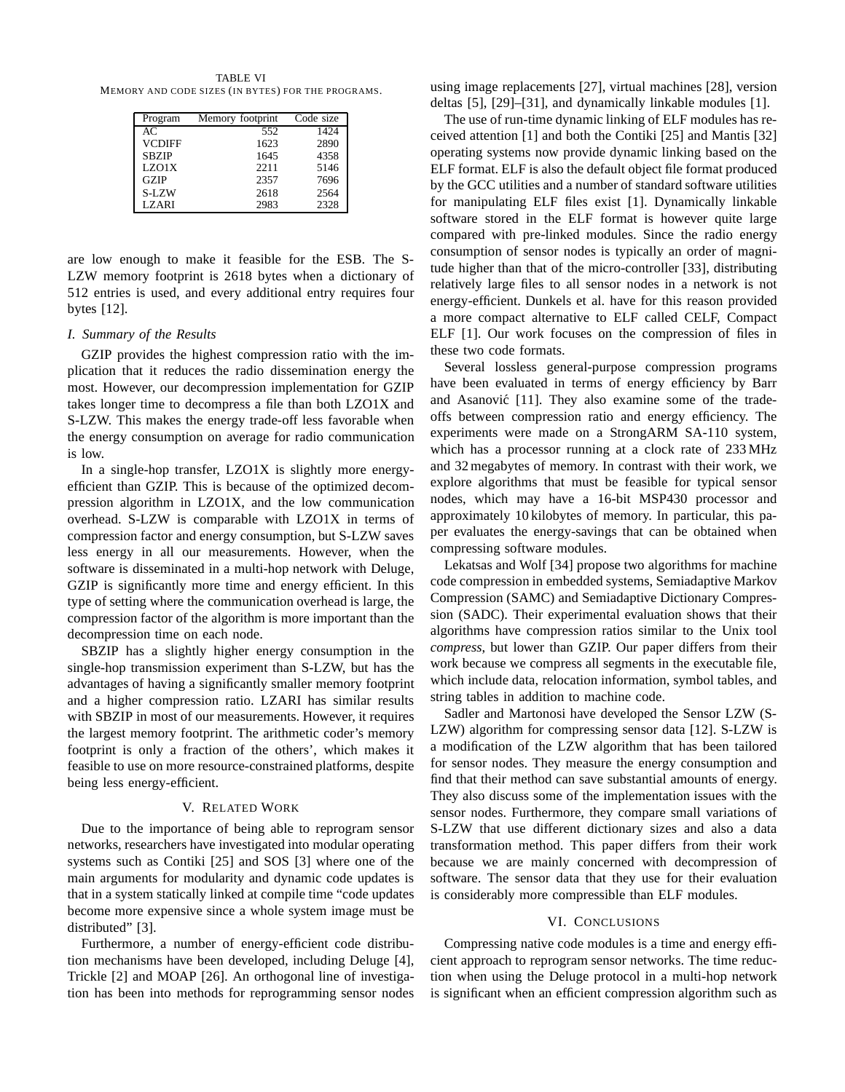TABLE VI MEMORY AND CODE SIZES (IN BYTES) FOR THE PROGRAMS.

| Program       | Memory footprint | Code size |
|---------------|------------------|-----------|
| AC            | 552              | 1424      |
| <b>VCDIFF</b> | 1623             | 2890      |
| <b>SBZIP</b>  | 1645             | 4358      |
| LZO1X         | 2211             | 5146      |
| GZIP          | 2357             | 7696      |
| S-LZW         | 2618             | 2564      |
| LZARI         | 2983             | 2328      |

are low enough to make it feasible for the ESB. The S-LZW memory footprint is 2618 bytes when a dictionary of 512 entries is used, and every additional entry requires four bytes [12].

## *I. Summary of the Results*

GZIP provides the highest compression ratio with the implication that it reduces the radio dissemination energy the most. However, our decompression implementation for GZIP takes longer time to decompress a file than both LZO1X and S-LZW. This makes the energy trade-off less favorable when the energy consumption on average for radio communication is low.

In a single-hop transfer, LZO1X is slightly more energyefficient than GZIP. This is because of the optimized decompression algorithm in LZO1X, and the low communication overhead. S-LZW is comparable with LZO1X in terms of compression factor and energy consumption, but S-LZW saves less energy in all our measurements. However, when the software is disseminated in a multi-hop network with Deluge, GZIP is significantly more time and energy efficient. In this type of setting where the communication overhead is large, the compression factor of the algorithm is more important than the decompression time on each node.

SBZIP has a slightly higher energy consumption in the single-hop transmission experiment than S-LZW, but has the advantages of having a significantly smaller memory footprint and a higher compression ratio. LZARI has similar results with SBZIP in most of our measurements. However, it requires the largest memory footprint. The arithmetic coder's memory footprint is only a fraction of the others', which makes it feasible to use on more resource-constrained platforms, despite being less energy-efficient.

#### V. RELATED WORK

Due to the importance of being able to reprogram sensor networks, researchers have investigated into modular operating systems such as Contiki [25] and SOS [3] where one of the main arguments for modularity and dynamic code updates is that in a system statically linked at compile time "code updates become more expensive since a whole system image must be distributed" [3].

Furthermore, a number of energy-efficient code distribution mechanisms have been developed, including Deluge [4], Trickle [2] and MOAP [26]. An orthogonal line of investigation has been into methods for reprogramming sensor nodes using image replacements [27], virtual machines [28], version deltas [5], [29]–[31], and dynamically linkable modules [1].

The use of run-time dynamic linking of ELF modules has received attention [1] and both the Contiki [25] and Mantis [32] operating systems now provide dynamic linking based on the ELF format. ELF is also the default object file format produced by the GCC utilities and a number of standard software utilities for manipulating ELF files exist [1]. Dynamically linkable software stored in the ELF format is however quite large compared with pre-linked modules. Since the radio energy consumption of sensor nodes is typically an order of magnitude higher than that of the micro-controller [33], distributing relatively large files to all sensor nodes in a network is not energy-efficient. Dunkels et al. have for this reason provided a more compact alternative to ELF called CELF, Compact ELF [1]. Our work focuses on the compression of files in these two code formats.

Several lossless general-purpose compression programs have been evaluated in terms of energy efficiency by Barr and Asanović [11]. They also examine some of the tradeoffs between compression ratio and energy efficiency. The experiments were made on a StrongARM SA-110 system, which has a processor running at a clock rate of 233 MHz and 32 megabytes of memory. In contrast with their work, we explore algorithms that must be feasible for typical sensor nodes, which may have a 16-bit MSP430 processor and approximately 10 kilobytes of memory. In particular, this paper evaluates the energy-savings that can be obtained when compressing software modules.

Lekatsas and Wolf [34] propose two algorithms for machine code compression in embedded systems, Semiadaptive Markov Compression (SAMC) and Semiadaptive Dictionary Compression (SADC). Their experimental evaluation shows that their algorithms have compression ratios similar to the Unix tool *compress*, but lower than GZIP. Our paper differs from their work because we compress all segments in the executable file, which include data, relocation information, symbol tables, and string tables in addition to machine code.

Sadler and Martonosi have developed the Sensor LZW (S-LZW) algorithm for compressing sensor data [12]. S-LZW is a modification of the LZW algorithm that has been tailored for sensor nodes. They measure the energy consumption and find that their method can save substantial amounts of energy. They also discuss some of the implementation issues with the sensor nodes. Furthermore, they compare small variations of S-LZW that use different dictionary sizes and also a data transformation method. This paper differs from their work because we are mainly concerned with decompression of software. The sensor data that they use for their evaluation is considerably more compressible than ELF modules.

## VI. CONCLUSIONS

Compressing native code modules is a time and energy efficient approach to reprogram sensor networks. The time reduction when using the Deluge protocol in a multi-hop network is significant when an efficient compression algorithm such as